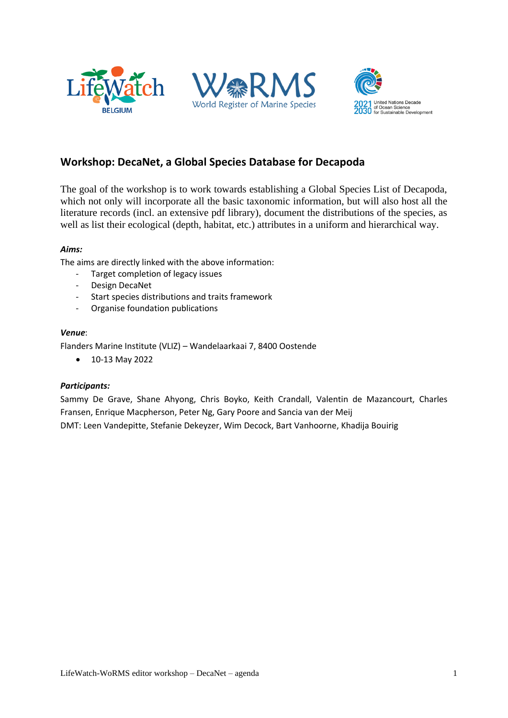





## **Workshop: DecaNet, a Global Species Database for Decapoda**

The goal of the workshop is to work towards establishing a Global Species List of Decapoda, which not only will incorporate all the basic taxonomic information, but will also host all the literature records (incl. an extensive pdf library), document the distributions of the species, as well as list their ecological (depth, habitat, etc.) attributes in a uniform and hierarchical way.

## *Aims:*

The aims are directly linked with the above information:

- Target completion of legacy issues
- Design DecaNet
- Start species distributions and traits framework
- Organise foundation publications

#### *Venue*:

Flanders Marine Institute (VLIZ) – Wandelaarkaai 7, 8400 Oostende

• 10-13 May 2022

#### *Participants:*

Sammy De Grave, Shane Ahyong, Chris Boyko, Keith Crandall, Valentin de Mazancourt, Charles Fransen, Enrique Macpherson, Peter Ng, Gary Poore and Sancia van der Meij DMT: Leen Vandepitte, Stefanie Dekeyzer, Wim Decock, Bart Vanhoorne, Khadija Bouirig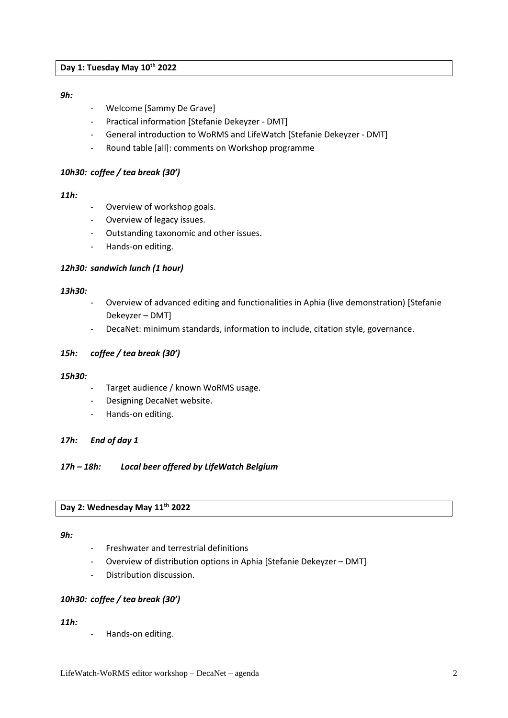#### **Day 1: Tuesday May 10th 2022**

#### *9h:*

- Welcome [Sammy De Grave]
- Practical information [Stefanie Dekeyzer DMT]
- General introduction to WoRMS and LifeWatch [Stefanie Dekeyzer DMT]
- Round table [all]: comments on Workshop programme

#### *10h30: coffee / tea break (30')*

## *11h:*

- Overview of workshop goals.
- Overview of legacy issues.
- Outstanding taxonomic and other issues.
- Hands-on editing.

#### *12h30: sandwich lunch (1 hour)*

#### *13h30:*

- Overview of advanced editing and functionalities in Aphia (live demonstration) [Stefanie Dekeyzer – DMT]
- DecaNet: minimum standards, information to include, citation style, governance.

#### *15h: coffee / tea break (30')*

#### *15h30:*

- Target audience / known WoRMS usage.
- Designing DecaNet website.
- Hands-on editing.

#### *17h: End of day 1*

*17h – 18h: Local beer offered by LifeWatch Belgium*

#### **Day 2: Wednesday May 11th 2022**

#### *9h:*

- Freshwater and terrestrial definitions
- Overview of distribution options in Aphia [Stefanie Dekeyzer DMT]
- Distribution discussion.

#### *10h30: coffee / tea break (30')*

#### *11h:*

Hands-on editing.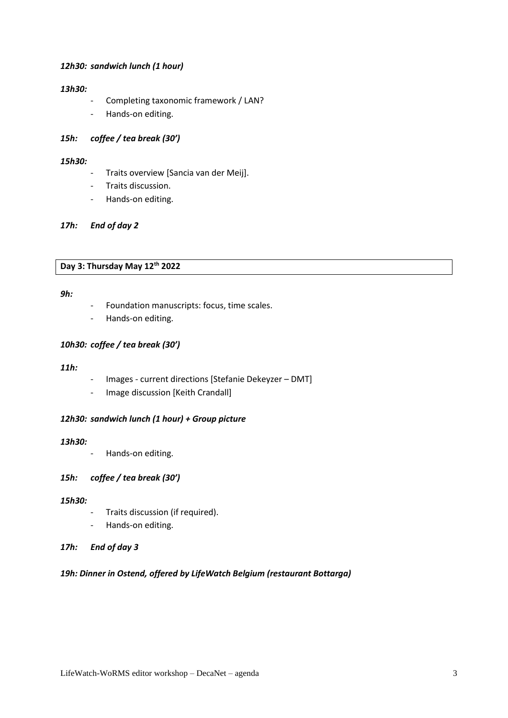#### *12h30: sandwich lunch (1 hour)*

#### *13h30:*

- Completing taxonomic framework / LAN?
- Hands-on editing.

## *15h: coffee / tea break (30')*

#### *15h30:*

- Traits overview [Sancia van der Meij].
- Traits discussion.
- Hands-on editing.

## *17h: End of day 2*

#### **Day 3: Thursday May 12th 2022**

#### *9h:*

- Foundation manuscripts: focus, time scales.
- Hands-on editing.

## *10h30: coffee / tea break (30')*

#### *11h:*

- Images current directions [Stefanie Dekeyzer DMT]
- Image discussion [Keith Crandall]

## *12h30: sandwich lunch (1 hour) + Group picture*

#### *13h30:*

- Hands-on editing.

#### *15h: coffee / tea break (30')*

#### *15h30:*

- Traits discussion (if required).
- Hands-on editing.
- *17h: End of day 3*

#### *19h: Dinner in Ostend, offered by LifeWatch Belgium (restaurant Bottarga)*